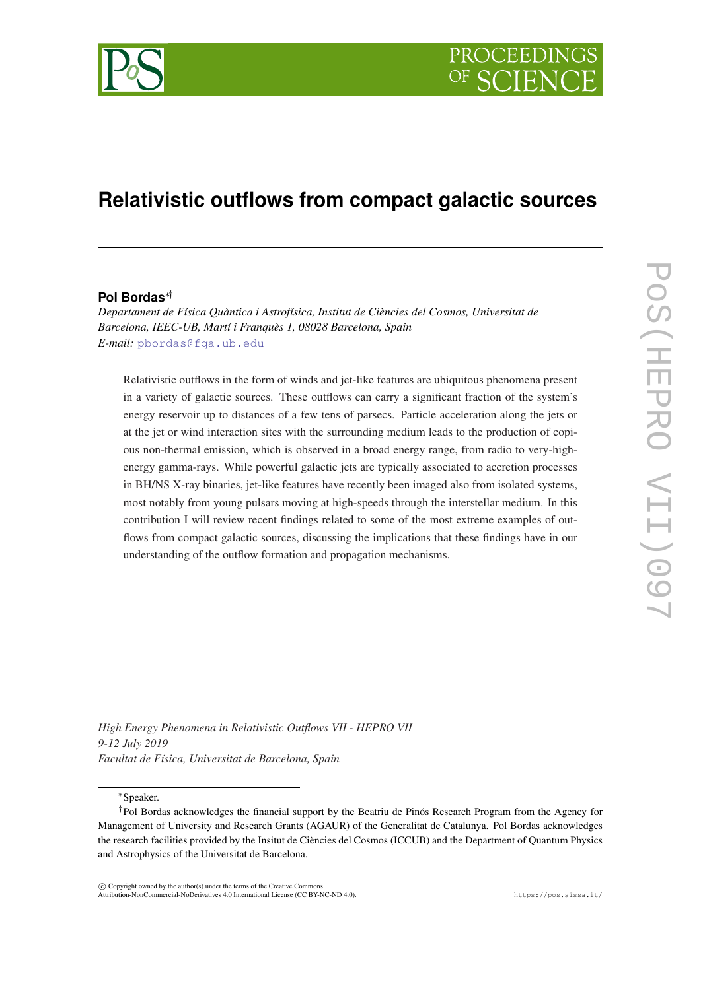

# **Relativistic outflows from compact galactic sources**

## **Pol Bordas**∗†

*Departament de Física Quàntica i Astrofísica, Institut de Ciències del Cosmos, Universitat de Barcelona, IEEC-UB, Martí i Franquès 1, 08028 Barcelona, Spain E-mail:* [pbordas@fqa.ub.edu](mailto:pbordas@fqa.ub.edu)

Relativistic outflows in the form of winds and jet-like features are ubiquitous phenomena present in a variety of galactic sources. These outflows can carry a significant fraction of the system's energy reservoir up to distances of a few tens of parsecs. Particle acceleration along the jets or at the jet or wind interaction sites with the surrounding medium leads to the production of copious non-thermal emission, which is observed in a broad energy range, from radio to very-highenergy gamma-rays. While powerful galactic jets are typically associated to accretion processes in BH/NS X-ray binaries, jet-like features have recently been imaged also from isolated systems, most notably from young pulsars moving at high-speeds through the interstellar medium. In this contribution I will review recent findings related to some of the most extreme examples of outflows from compact galactic sources, discussing the implications that these findings have in our understanding of the outflow formation and propagation mechanisms.

*High Energy Phenomena in Relativistic Outflows VII - HEPRO VII 9-12 July 2019 Facultat de Física, Universitat de Barcelona, Spain*

<sup>∗</sup>Speaker.

 $(C)$  Copyright owned by the author(s) under the terms of the Creative Commons Attribution-NonCommercial-NoDerivatives 4.0 International License (CC BY-NC-ND 4.0). https://pos.sissa.it/

<sup>†</sup>Pol Bordas acknowledges the financial support by the Beatriu de Pinós Research Program from the Agency for Management of University and Research Grants (AGAUR) of the Generalitat de Catalunya. Pol Bordas acknowledges the research facilities provided by the Insitut de Ciències del Cosmos (ICCUB) and the Department of Quantum Physics and Astrophysics of the Universitat de Barcelona.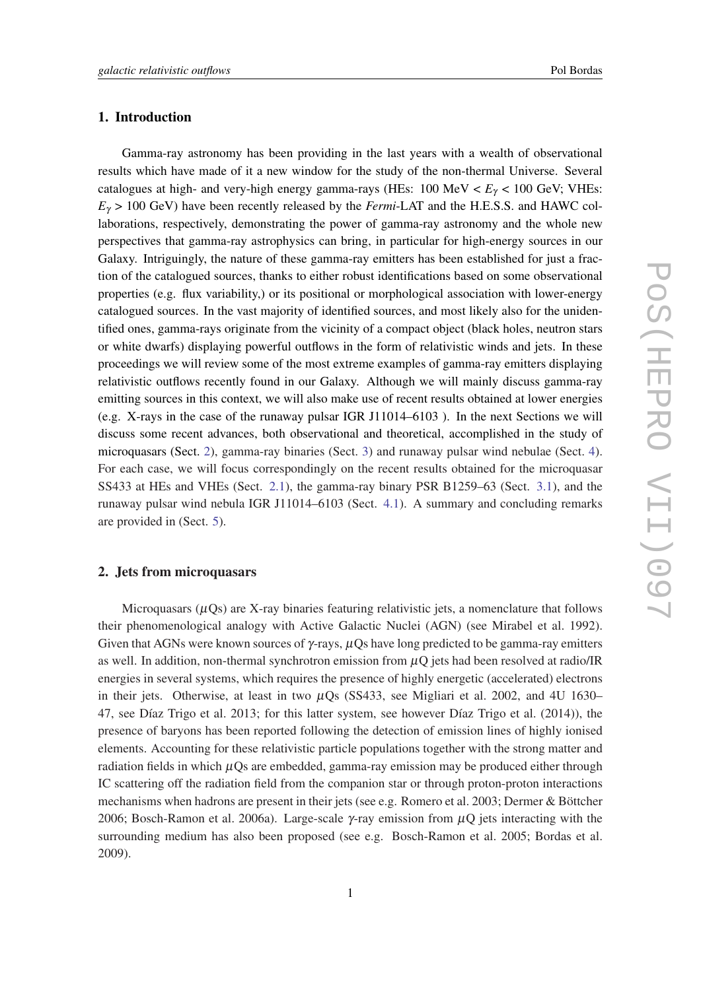## 1. Introduction

Gamma-ray astronomy has been providing in the last years with a wealth of observational results which have made of it a new window for the study of the non-thermal Universe. Several catalogues at high- and very-high energy gamma-rays (HEs: 100 MeV < *E*<sup>γ</sup> < 100 GeV; VHEs:  $E<sub>\gamma</sub>$  > 100 GeV) have been recently released by the *Fermi*-LAT and the H.E.S.S. and HAWC collaborations, respectively, demonstrating the power of gamma-ray astronomy and the whole new perspectives that gamma-ray astrophysics can bring, in particular for high-energy sources in our Galaxy. Intriguingly, the nature of these gamma-ray emitters has been established for just a fraction of the catalogued sources, thanks to either robust identifications based on some observational properties (e.g. flux variability,) or its positional or morphological association with lower-energy catalogued sources. In the vast majority of identified sources, and most likely also for the unidentified ones, gamma-rays originate from the vicinity of a compact object (black holes, neutron stars or white dwarfs) displaying powerful outflows in the form of relativistic winds and jets. In these proceedings we will review some of the most extreme examples of gamma-ray emitters displaying relativistic outflows recently found in our Galaxy. Although we will mainly discuss gamma-ray emitting sources in this context, we will also make use of recent results obtained at lower energies (e.g. X-rays in the case of the runaway pulsar IGR J11014–6103 ). In the next Sections we will discuss some recent advances, both observational and theoretical, accomplished in the study of microquasars (Sect. 2), gamma-ray binaries (Sect. [3](#page-3-0)) and runaway pulsar wind nebulae (Sect. [4\)](#page-6-0). For each case, we will focus correspondingly on the recent results obtained for the microquasar SS433 at HEs and VHEs (Sect. [2.1](#page-2-0)), the gamma-ray binary PSR B1259–63 (Sect. [3.1](#page-4-0)), and the runaway pulsar wind nebula IGR J11014–6103 (Sect. [4.1](#page-6-0)). A summary and concluding remarks are provided in (Sect. [5\)](#page-8-0).

# 2. Jets from microquasars

Microquasars  $(\mu Qs)$  are X-ray binaries featuring relativistic jets, a nomenclature that follows their phenomenological analogy with Active Galactic Nuclei (AGN) (see Mirabel et al. 1992). Given that AGNs were known sources of  $\gamma$ -rays,  $\mu$ Qs have long predicted to be gamma-ray emitters as well. In addition, non-thermal synchrotron emission from  $\mu$ Q jets had been resolved at radio/IR energies in several systems, which requires the presence of highly energetic (accelerated) electrons in their jets. Otherwise, at least in two  $\mu$ Qs (SS433, see Migliari et al. 2002, and 4U 1630– 47, see Díaz Trigo et al. 2013; for this latter system, see however Díaz Trigo et al. (2014)), the presence of baryons has been reported following the detection of emission lines of highly ionised elements. Accounting for these relativistic particle populations together with the strong matter and radiation fields in which  $\mu$ Os are embedded, gamma-ray emission may be produced either through IC scattering off the radiation field from the companion star or through proton-proton interactions mechanisms when hadrons are present in their jets (see e.g. Romero et al. 2003; Dermer & Böttcher 2006; Bosch-Ramon et al. 2006a). Large-scale γ-ray emission from  $\mu$ Q jets interacting with the surrounding medium has also been proposed (see e.g. Bosch-Ramon et al. 2005; Bordas et al. 2009).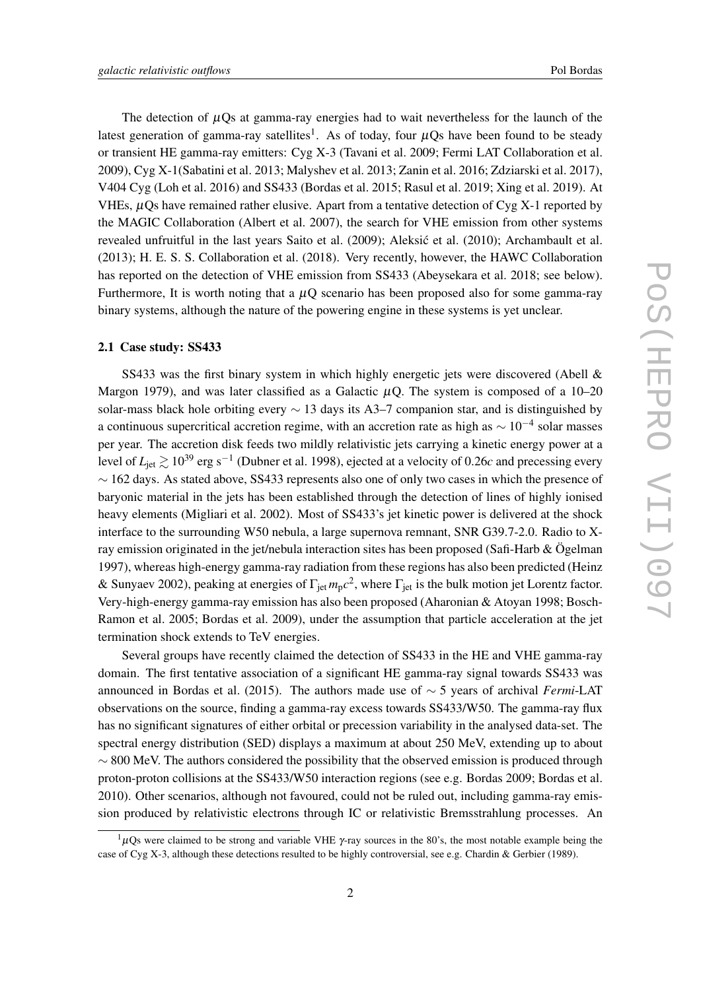<span id="page-2-0"></span>The detection of  $\mu$ Qs at gamma-ray energies had to wait nevertheless for the launch of the latest generation of gamma-ray satellites<sup>1</sup>. As of today, four  $\mu Qs$  have been found to be steady or transient HE gamma-ray emitters: Cyg X-3 (Tavani et al. 2009; Fermi LAT Collaboration et al. 2009), Cyg X-1(Sabatini et al. 2013; Malyshev et al. 2013; Zanin et al. 2016; Zdziarski et al. 2017), V404 Cyg (Loh et al. 2016) and SS433 (Bordas et al. 2015; Rasul et al. 2019; Xing et al. 2019). At VHEs,  $\mu$ Qs have remained rather elusive. Apart from a tentative detection of Cyg X-1 reported by the MAGIC Collaboration (Albert et al. 2007), the search for VHE emission from other systems revealed unfruitful in the last years Saito et al. (2009); Aleksic et al. (2010); Archambault et al. (2013); H. E. S. S. Collaboration et al. (2018). Very recently, however, the HAWC Collaboration has reported on the detection of VHE emission from SS433 (Abeysekara et al. 2018; see below). Furthermore. It is worth noting that a  $\mu$ O scenario has been proposed also for some gamma-ray binary systems, although the nature of the powering engine in these systems is yet unclear.

#### 2.1 Case study: SS433

SS433 was the first binary system in which highly energetic jets were discovered (Abell & Margon 1979), and was later classified as a Galactic  $\mu$ Q. The system is composed of a 10–20 solar-mass black hole orbiting every  $\sim$  13 days its A3–7 companion star, and is distinguished by a continuous supercritical accretion regime, with an accretion rate as high as  $\sim 10^{-4}$  solar masses per year. The accretion disk feeds two mildly relativistic jets carrying a kinetic energy power at a level of  $L_{\rm jet}$   $\gtrsim$  10<sup>39</sup> erg s<sup>−1</sup> (Dubner et al. 1998), ejected at a velocity of 0.26*c* and precessing every ∼ 162 days. As stated above, SS433 represents also one of only two cases in which the presence of baryonic material in the jets has been established through the detection of lines of highly ionised heavy elements (Migliari et al. 2002). Most of SS433's jet kinetic power is delivered at the shock interface to the surrounding W50 nebula, a large supernova remnant, SNR G39.7-2.0. Radio to Xray emission originated in the jet/nebula interaction sites has been proposed (Safi-Harb & Ögelman 1997), whereas high-energy gamma-ray radiation from these regions has also been predicted (Heinz & Sunyaev 2002), peaking at energies of Γ<sub>jet</sub>  $m_p c^2$ , where Γ<sub>jet</sub> is the bulk motion jet Lorentz factor. Very-high-energy gamma-ray emission has also been proposed (Aharonian & Atoyan 1998; Bosch-Ramon et al. 2005; Bordas et al. 2009), under the assumption that particle acceleration at the jet termination shock extends to TeV energies.

Several groups have recently claimed the detection of SS433 in the HE and VHE gamma-ray domain. The first tentative association of a significant HE gamma-ray signal towards SS433 was announced in Bordas et al. (2015). The authors made use of ∼ 5 years of archival *Fermi*-LAT observations on the source, finding a gamma-ray excess towards SS433/W50. The gamma-ray flux has no significant signatures of either orbital or precession variability in the analysed data-set. The spectral energy distribution (SED) displays a maximum at about 250 MeV, extending up to about  $\sim$  800 MeV. The authors considered the possibility that the observed emission is produced through proton-proton collisions at the SS433/W50 interaction regions (see e.g. Bordas 2009; Bordas et al. 2010). Other scenarios, although not favoured, could not be ruled out, including gamma-ray emission produced by relativistic electrons through IC or relativistic Bremsstrahlung processes. An

 $1\mu$ Qs were claimed to be strong and variable VHE  $\gamma$ -ray sources in the 80's, the most notable example being the case of Cyg X-3, although these detections resulted to be highly controversial, see e.g. Chardin & Gerbier (1989).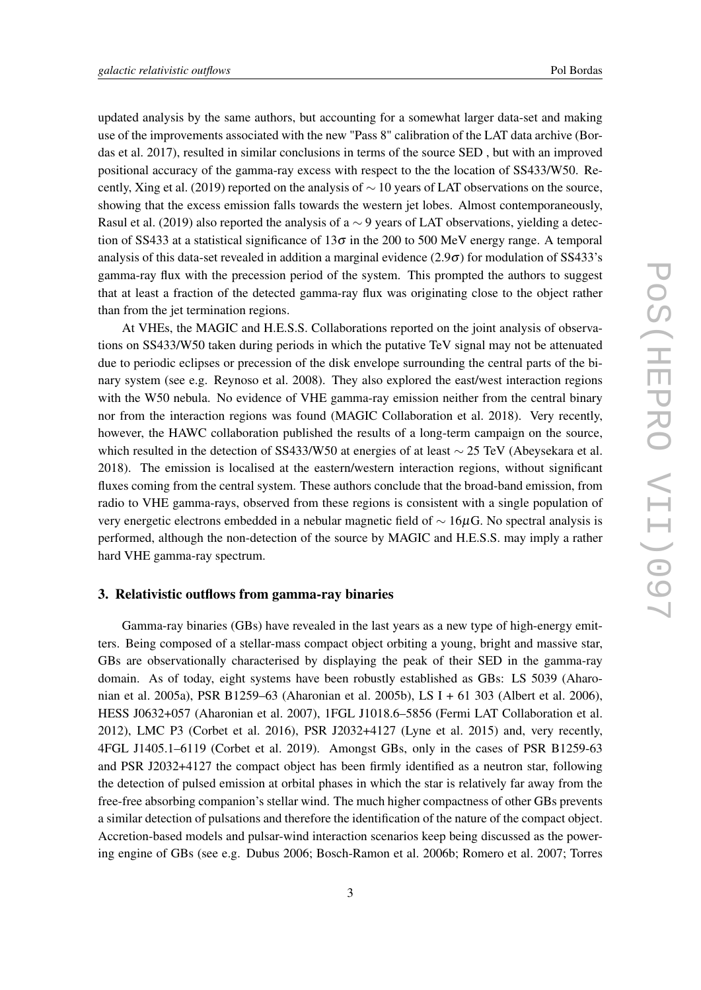<span id="page-3-0"></span>updated analysis by the same authors, but accounting for a somewhat larger data-set and making use of the improvements associated with the new "Pass 8" calibration of the LAT data archive (Bordas et al. 2017), resulted in similar conclusions in terms of the source SED , but with an improved positional accuracy of the gamma-ray excess with respect to the the location of SS433/W50. Recently, Xing et al. (2019) reported on the analysis of ∼ 10 years of LAT observations on the source, showing that the excess emission falls towards the western jet lobes. Almost contemporaneously, Rasul et al. (2019) also reported the analysis of a ∼ 9 years of LAT observations, yielding a detection of SS433 at a statistical significance of  $13\sigma$  in the 200 to 500 MeV energy range. A temporal analysis of this data-set revealed in addition a marginal evidence  $(2.9\sigma)$  for modulation of SS433's gamma-ray flux with the precession period of the system. This prompted the authors to suggest that at least a fraction of the detected gamma-ray flux was originating close to the object rather than from the jet termination regions.

At VHEs, the MAGIC and H.E.S.S. Collaborations reported on the joint analysis of observations on SS433/W50 taken during periods in which the putative TeV signal may not be attenuated due to periodic eclipses or precession of the disk envelope surrounding the central parts of the binary system (see e.g. Reynoso et al. 2008). They also explored the east/west interaction regions with the W50 nebula. No evidence of VHE gamma-ray emission neither from the central binary nor from the interaction regions was found (MAGIC Collaboration et al. 2018). Very recently, however, the HAWC collaboration published the results of a long-term campaign on the source, which resulted in the detection of SS433/W50 at energies of at least ~ 25 TeV (Abeysekara et al. 2018). The emission is localised at the eastern/western interaction regions, without significant fluxes coming from the central system. These authors conclude that the broad-band emission, from radio to VHE gamma-rays, observed from these regions is consistent with a single population of very energetic electrons embedded in a nebular magnetic field of ∼ 16µG. No spectral analysis is performed, although the non-detection of the source by MAGIC and H.E.S.S. may imply a rather hard VHE gamma-ray spectrum.

#### 3. Relativistic outflows from gamma-ray binaries

Gamma-ray binaries (GBs) have revealed in the last years as a new type of high-energy emitters. Being composed of a stellar-mass compact object orbiting a young, bright and massive star, GBs are observationally characterised by displaying the peak of their SED in the gamma-ray domain. As of today, eight systems have been robustly established as GBs: LS 5039 (Aharonian et al. 2005a), PSR B1259–63 (Aharonian et al. 2005b), LS I + 61 303 (Albert et al. 2006), HESS J0632+057 (Aharonian et al. 2007), 1FGL J1018.6–5856 (Fermi LAT Collaboration et al. 2012), LMC P3 (Corbet et al. 2016), PSR J2032+4127 (Lyne et al. 2015) and, very recently, 4FGL J1405.1–6119 (Corbet et al. 2019). Amongst GBs, only in the cases of PSR B1259-63 and PSR J2032+4127 the compact object has been firmly identified as a neutron star, following the detection of pulsed emission at orbital phases in which the star is relatively far away from the free-free absorbing companion's stellar wind. The much higher compactness of other GBs prevents a similar detection of pulsations and therefore the identification of the nature of the compact object. Accretion-based models and pulsar-wind interaction scenarios keep being discussed as the powering engine of GBs (see e.g. Dubus 2006; Bosch-Ramon et al. 2006b; Romero et al. 2007; Torres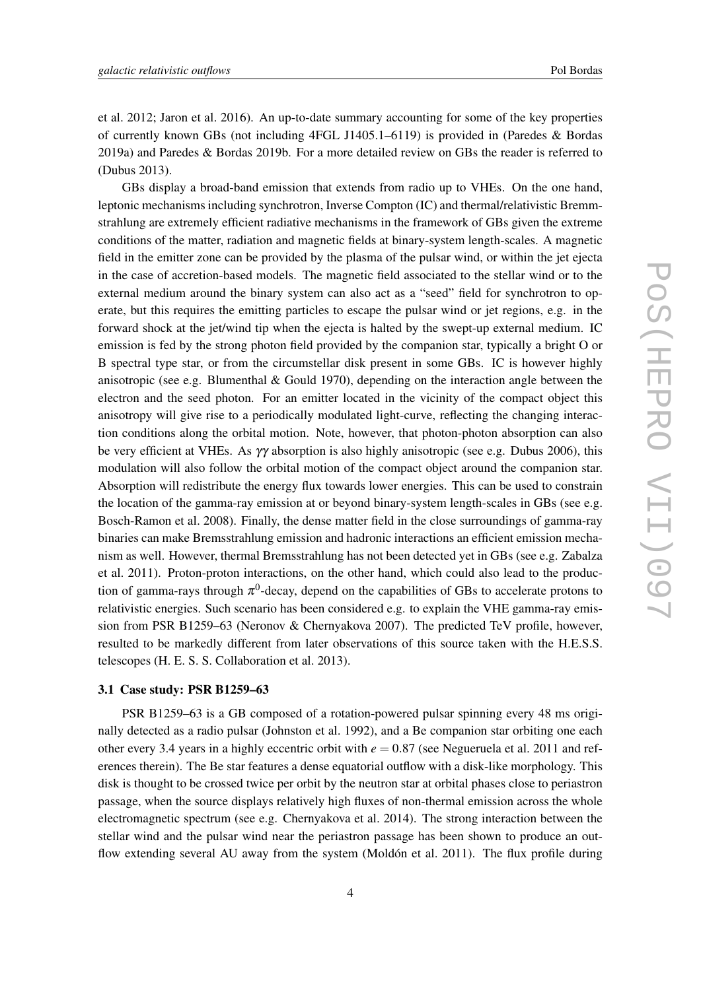<span id="page-4-0"></span>et al. 2012; Jaron et al. 2016). An up-to-date summary accounting for some of the key properties of currently known GBs (not including 4FGL J1405.1–6119) is provided in (Paredes & Bordas 2019a) and Paredes & Bordas 2019b. For a more detailed review on GBs the reader is referred to (Dubus 2013).

GBs display a broad-band emission that extends from radio up to VHEs. On the one hand, leptonic mechanisms including synchrotron, Inverse Compton (IC) and thermal/relativistic Bremmstrahlung are extremely efficient radiative mechanisms in the framework of GBs given the extreme conditions of the matter, radiation and magnetic fields at binary-system length-scales. A magnetic field in the emitter zone can be provided by the plasma of the pulsar wind, or within the jet ejecta in the case of accretion-based models. The magnetic field associated to the stellar wind or to the external medium around the binary system can also act as a "seed" field for synchrotron to operate, but this requires the emitting particles to escape the pulsar wind or jet regions, e.g. in the forward shock at the jet/wind tip when the ejecta is halted by the swept-up external medium. IC emission is fed by the strong photon field provided by the companion star, typically a bright O or B spectral type star, or from the circumstellar disk present in some GBs. IC is however highly anisotropic (see e.g. Blumenthal & Gould 1970), depending on the interaction angle between the electron and the seed photon. For an emitter located in the vicinity of the compact object this anisotropy will give rise to a periodically modulated light-curve, reflecting the changing interaction conditions along the orbital motion. Note, however, that photon-photon absorption can also be very efficient at VHEs. As γγ absorption is also highly anisotropic (see e.g. Dubus 2006), this modulation will also follow the orbital motion of the compact object around the companion star. Absorption will redistribute the energy flux towards lower energies. This can be used to constrain the location of the gamma-ray emission at or beyond binary-system length-scales in GBs (see e.g. Bosch-Ramon et al. 2008). Finally, the dense matter field in the close surroundings of gamma-ray binaries can make Bremsstrahlung emission and hadronic interactions an efficient emission mechanism as well. However, thermal Bremsstrahlung has not been detected yet in GBs (see e.g. Zabalza et al. 2011). Proton-proton interactions, on the other hand, which could also lead to the production of gamma-rays through  $\pi^0$ -decay, depend on the capabilities of GBs to accelerate protons to relativistic energies. Such scenario has been considered e.g. to explain the VHE gamma-ray emission from PSR B1259–63 (Neronov & Chernyakova 2007). The predicted TeV profile, however, resulted to be markedly different from later observations of this source taken with the H.E.S.S. telescopes (H. E. S. S. Collaboration et al. 2013).

#### 3.1 Case study: PSR B1259–63

PSR B1259–63 is a GB composed of a rotation-powered pulsar spinning every 48 ms originally detected as a radio pulsar (Johnston et al. 1992), and a Be companion star orbiting one each other every 3.4 years in a highly eccentric orbit with  $e = 0.87$  (see Negueruela et al. 2011 and references therein). The Be star features a dense equatorial outflow with a disk-like morphology. This disk is thought to be crossed twice per orbit by the neutron star at orbital phases close to periastron passage, when the source displays relatively high fluxes of non-thermal emission across the whole electromagnetic spectrum (see e.g. Chernyakova et al. 2014). The strong interaction between the stellar wind and the pulsar wind near the periastron passage has been shown to produce an outflow extending several AU away from the system (Moldón et al. 2011). The flux profile during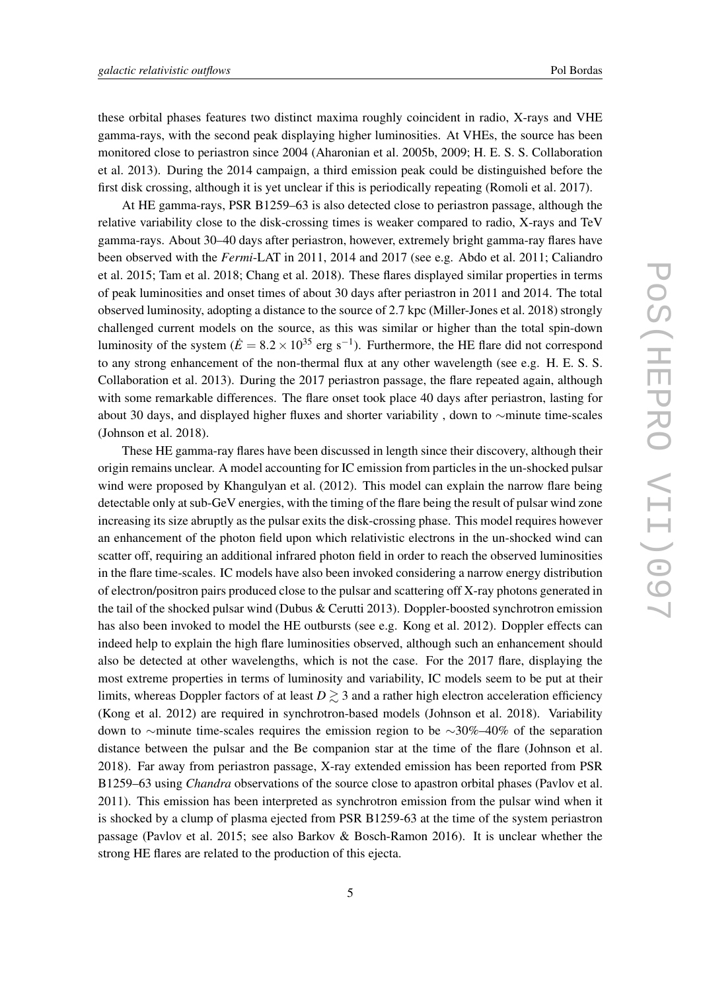these orbital phases features two distinct maxima roughly coincident in radio, X-rays and VHE gamma-rays, with the second peak displaying higher luminosities. At VHEs, the source has been monitored close to periastron since 2004 (Aharonian et al. 2005b, 2009; H. E. S. S. Collaboration et al. 2013). During the 2014 campaign, a third emission peak could be distinguished before the first disk crossing, although it is yet unclear if this is periodically repeating (Romoli et al. 2017).

At HE gamma-rays, PSR B1259–63 is also detected close to periastron passage, although the relative variability close to the disk-crossing times is weaker compared to radio, X-rays and TeV gamma-rays. About 30–40 days after periastron, however, extremely bright gamma-ray flares have been observed with the *Fermi*-LAT in 2011, 2014 and 2017 (see e.g. Abdo et al. 2011; Caliandro et al. 2015; Tam et al. 2018; Chang et al. 2018). These flares displayed similar properties in terms of peak luminosities and onset times of about 30 days after periastron in 2011 and 2014. The total observed luminosity, adopting a distance to the source of 2.7 kpc (Miller-Jones et al. 2018) strongly challenged current models on the source, as this was similar or higher than the total spin-down luminosity of the system ( $\dot{E} = 8.2 \times 10^{35}$  erg s<sup>-1</sup>). Furthermore, the HE flare did not correspond to any strong enhancement of the non-thermal flux at any other wavelength (see e.g. H. E. S. S. Collaboration et al. 2013). During the 2017 periastron passage, the flare repeated again, although with some remarkable differences. The flare onset took place 40 days after periastron, lasting for about 30 days, and displayed higher fluxes and shorter variability , down to ∼minute time-scales (Johnson et al. 2018).

These HE gamma-ray flares have been discussed in length since their discovery, although their origin remains unclear. A model accounting for IC emission from particles in the un-shocked pulsar wind were proposed by Khangulyan et al. (2012). This model can explain the narrow flare being detectable only at sub-GeV energies, with the timing of the flare being the result of pulsar wind zone increasing its size abruptly as the pulsar exits the disk-crossing phase. This model requires however an enhancement of the photon field upon which relativistic electrons in the un-shocked wind can scatter off, requiring an additional infrared photon field in order to reach the observed luminosities in the flare time-scales. IC models have also been invoked considering a narrow energy distribution of electron/positron pairs produced close to the pulsar and scattering off X-ray photons generated in the tail of the shocked pulsar wind (Dubus & Cerutti 2013). Doppler-boosted synchrotron emission has also been invoked to model the HE outbursts (see e.g. Kong et al. 2012). Doppler effects can indeed help to explain the high flare luminosities observed, although such an enhancement should also be detected at other wavelengths, which is not the case. For the 2017 flare, displaying the most extreme properties in terms of luminosity and variability, IC models seem to be put at their limits, whereas Doppler factors of at least  $D \gtrsim 3$  and a rather high electron acceleration efficiency (Kong et al. 2012) are required in synchrotron-based models (Johnson et al. 2018). Variability down to ∼minute time-scales requires the emission region to be ∼30%–40% of the separation distance between the pulsar and the Be companion star at the time of the flare (Johnson et al. 2018). Far away from periastron passage, X-ray extended emission has been reported from PSR B1259–63 using *Chandra* observations of the source close to apastron orbital phases (Pavlov et al. 2011). This emission has been interpreted as synchrotron emission from the pulsar wind when it is shocked by a clump of plasma ejected from PSR B1259-63 at the time of the system periastron passage (Pavlov et al. 2015; see also Barkov & Bosch-Ramon 2016). It is unclear whether the strong HE flares are related to the production of this ejecta.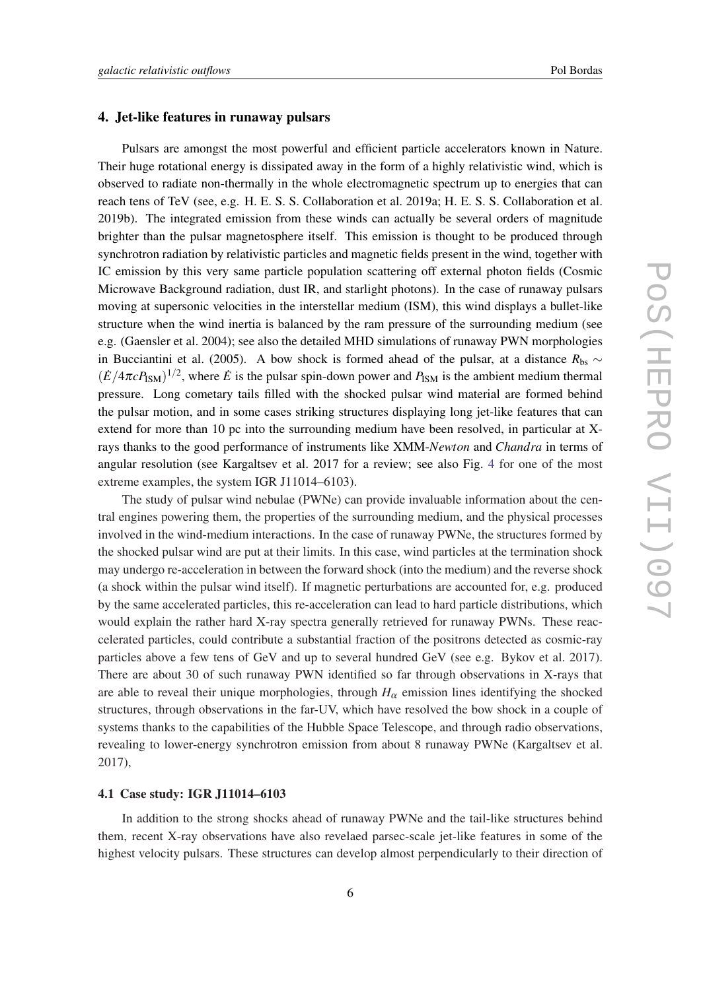#### <span id="page-6-0"></span>4. Jet-like features in runaway pulsars

Pulsars are amongst the most powerful and efficient particle accelerators known in Nature. Their huge rotational energy is dissipated away in the form of a highly relativistic wind, which is observed to radiate non-thermally in the whole electromagnetic spectrum up to energies that can reach tens of TeV (see, e.g. H. E. S. S. Collaboration et al. 2019a; H. E. S. S. Collaboration et al. 2019b). The integrated emission from these winds can actually be several orders of magnitude brighter than the pulsar magnetosphere itself. This emission is thought to be produced through synchrotron radiation by relativistic particles and magnetic fields present in the wind, together with IC emission by this very same particle population scattering off external photon fields (Cosmic Microwave Background radiation, dust IR, and starlight photons). In the case of runaway pulsars moving at supersonic velocities in the interstellar medium (ISM), this wind displays a bullet-like structure when the wind inertia is balanced by the ram pressure of the surrounding medium (see e.g. (Gaensler et al. 2004); see also the detailed MHD simulations of runaway PWN morphologies in Bucciantini et al. (2005). A bow shock is formed ahead of the pulsar, at a distance  $R_{\text{bs}}$  ∼  $(\dot{E}/4\pi c P_{\text{ISM}})^{1/2}$ , where  $\dot{E}$  is the pulsar spin-down power and  $P_{\text{ISM}}$  is the ambient medium thermal pressure. Long cometary tails filled with the shocked pulsar wind material are formed behind the pulsar motion, and in some cases striking structures displaying long jet-like features that can extend for more than 10 pc into the surrounding medium have been resolved, in particular at Xrays thanks to the good performance of instruments like XMM-*Newton* and *Chandra* in terms of angular resolution (see Kargaltsev et al. 2017 for a review; see also Fig. [4](#page-7-0) for one of the most extreme examples, the system IGR J11014–6103).

The study of pulsar wind nebulae (PWNe) can provide invaluable information about the central engines powering them, the properties of the surrounding medium, and the physical processes involved in the wind-medium interactions. In the case of runaway PWNe, the structures formed by the shocked pulsar wind are put at their limits. In this case, wind particles at the termination shock may undergo re-acceleration in between the forward shock (into the medium) and the reverse shock (a shock within the pulsar wind itself). If magnetic perturbations are accounted for, e.g. produced by the same accelerated particles, this re-acceleration can lead to hard particle distributions, which would explain the rather hard X-ray spectra generally retrieved for runaway PWNs. These reaccelerated particles, could contribute a substantial fraction of the positrons detected as cosmic-ray particles above a few tens of GeV and up to several hundred GeV (see e.g. Bykov et al. 2017). There are about 30 of such runaway PWN identified so far through observations in X-rays that are able to reveal their unique morphologies, through  $H_{\alpha}$  emission lines identifying the shocked structures, through observations in the far-UV, which have resolved the bow shock in a couple of systems thanks to the capabilities of the Hubble Space Telescope, and through radio observations, revealing to lower-energy synchrotron emission from about 8 runaway PWNe (Kargaltsev et al. 2017),

## 4.1 Case study: IGR J11014–6103

In addition to the strong shocks ahead of runaway PWNe and the tail-like structures behind them, recent X-ray observations have also revelaed parsec-scale jet-like features in some of the highest velocity pulsars. These structures can develop almost perpendicularly to their direction of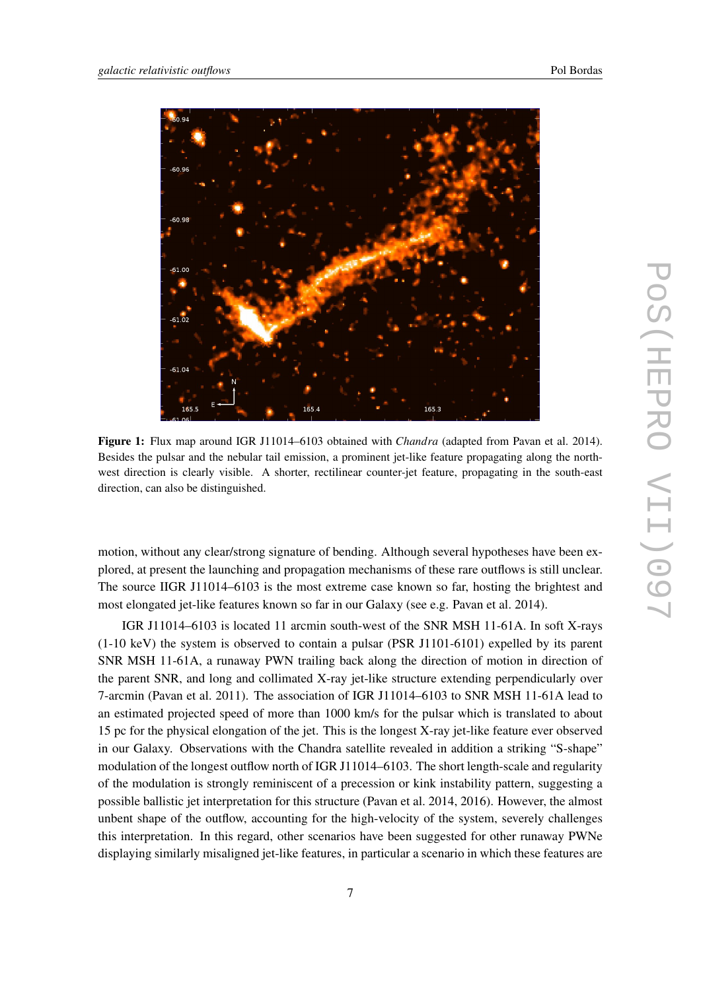<span id="page-7-0"></span>

Figure 1: Flux map around IGR J11014–6103 obtained with *Chandra* (adapted from Pavan et al. 2014). Besides the pulsar and the nebular tail emission, a prominent jet-like feature propagating along the northwest direction is clearly visible. A shorter, rectilinear counter-jet feature, propagating in the south-east direction, can also be distinguished.

motion, without any clear/strong signature of bending. Although several hypotheses have been explored, at present the launching and propagation mechanisms of these rare outflows is still unclear. The source IIGR J11014–6103 is the most extreme case known so far, hosting the brightest and most elongated jet-like features known so far in our Galaxy (see e.g. Pavan et al. 2014).

IGR J11014–6103 is located 11 arcmin south-west of the SNR MSH 11-61A. In soft X-rays (1-10 keV) the system is observed to contain a pulsar (PSR J1101-6101) expelled by its parent SNR MSH 11-61A, a runaway PWN trailing back along the direction of motion in direction of the parent SNR, and long and collimated X-ray jet-like structure extending perpendicularly over 7-arcmin (Pavan et al. 2011). The association of IGR J11014–6103 to SNR MSH 11-61A lead to an estimated projected speed of more than 1000 km/s for the pulsar which is translated to about 15 pc for the physical elongation of the jet. This is the longest X-ray jet-like feature ever observed in our Galaxy. Observations with the Chandra satellite revealed in addition a striking "S-shape" modulation of the longest outflow north of IGR J11014–6103. The short length-scale and regularity of the modulation is strongly reminiscent of a precession or kink instability pattern, suggesting a possible ballistic jet interpretation for this structure (Pavan et al. 2014, 2016). However, the almost unbent shape of the outflow, accounting for the high-velocity of the system, severely challenges this interpretation. In this regard, other scenarios have been suggested for other runaway PWNe displaying similarly misaligned jet-like features, in particular a scenario in which these features are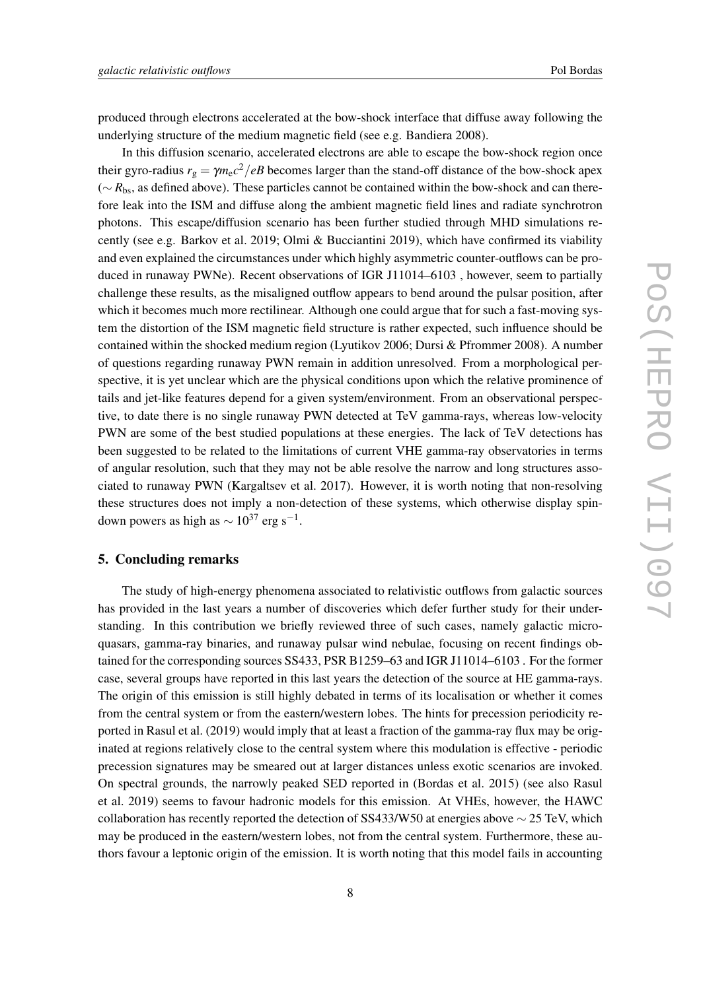<span id="page-8-0"></span>produced through electrons accelerated at the bow-shock interface that diffuse away following the underlying structure of the medium magnetic field (see e.g. Bandiera 2008).

In this diffusion scenario, accelerated electrons are able to escape the bow-shock region once their gyro-radius  $r_g = \gamma m_e c^2 / eB$  becomes larger than the stand-off distance of the bow-shock apex (∼ *R*bs, as defined above). These particles cannot be contained within the bow-shock and can therefore leak into the ISM and diffuse along the ambient magnetic field lines and radiate synchrotron photons. This escape/diffusion scenario has been further studied through MHD simulations recently (see e.g. Barkov et al. 2019; Olmi & Bucciantini 2019), which have confirmed its viability and even explained the circumstances under which highly asymmetric counter-outflows can be produced in runaway PWNe). Recent observations of IGR J11014–6103 , however, seem to partially challenge these results, as the misaligned outflow appears to bend around the pulsar position, after which it becomes much more rectilinear. Although one could argue that for such a fast-moving system the distortion of the ISM magnetic field structure is rather expected, such influence should be contained within the shocked medium region (Lyutikov 2006; Dursi & Pfrommer 2008). A number of questions regarding runaway PWN remain in addition unresolved. From a morphological perspective, it is yet unclear which are the physical conditions upon which the relative prominence of tails and jet-like features depend for a given system/environment. From an observational perspective, to date there is no single runaway PWN detected at TeV gamma-rays, whereas low-velocity PWN are some of the best studied populations at these energies. The lack of TeV detections has been suggested to be related to the limitations of current VHE gamma-ray observatories in terms of angular resolution, such that they may not be able resolve the narrow and long structures associated to runaway PWN (Kargaltsev et al. 2017). However, it is worth noting that non-resolving these structures does not imply a non-detection of these systems, which otherwise display spindown powers as high as  $\sim 10^{37}$  erg s<sup>-1</sup>.

# 5. Concluding remarks

The study of high-energy phenomena associated to relativistic outflows from galactic sources has provided in the last years a number of discoveries which defer further study for their understanding. In this contribution we briefly reviewed three of such cases, namely galactic microquasars, gamma-ray binaries, and runaway pulsar wind nebulae, focusing on recent findings obtained for the corresponding sources SS433, PSR B1259–63 and IGR J11014–6103 . For the former case, several groups have reported in this last years the detection of the source at HE gamma-rays. The origin of this emission is still highly debated in terms of its localisation or whether it comes from the central system or from the eastern/western lobes. The hints for precession periodicity reported in Rasul et al. (2019) would imply that at least a fraction of the gamma-ray flux may be originated at regions relatively close to the central system where this modulation is effective - periodic precession signatures may be smeared out at larger distances unless exotic scenarios are invoked. On spectral grounds, the narrowly peaked SED reported in (Bordas et al. 2015) (see also Rasul et al. 2019) seems to favour hadronic models for this emission. At VHEs, however, the HAWC collaboration has recently reported the detection of SS433/W50 at energies above  $\sim$  25 TeV, which may be produced in the eastern/western lobes, not from the central system. Furthermore, these authors favour a leptonic origin of the emission. It is worth noting that this model fails in accounting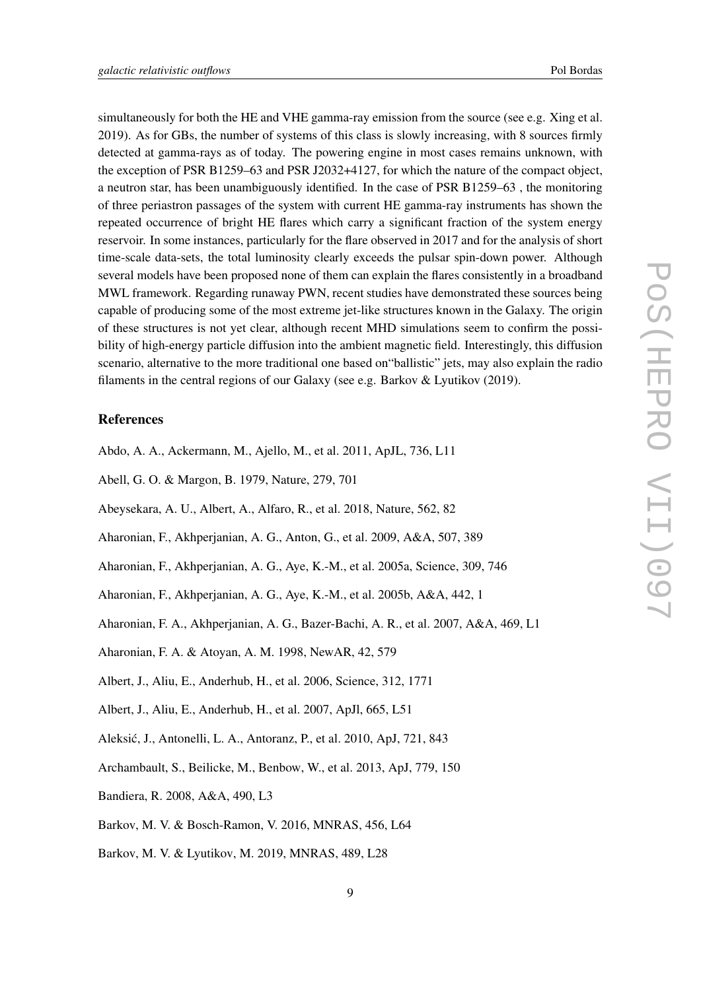simultaneously for both the HE and VHE gamma-ray emission from the source (see e.g. Xing et al. 2019). As for GBs, the number of systems of this class is slowly increasing, with 8 sources firmly detected at gamma-rays as of today. The powering engine in most cases remains unknown, with the exception of PSR B1259–63 and PSR J2032+4127, for which the nature of the compact object, a neutron star, has been unambiguously identified. In the case of PSR B1259–63 , the monitoring of three periastron passages of the system with current HE gamma-ray instruments has shown the repeated occurrence of bright HE flares which carry a significant fraction of the system energy reservoir. In some instances, particularly for the flare observed in 2017 and for the analysis of short time-scale data-sets, the total luminosity clearly exceeds the pulsar spin-down power. Although several models have been proposed none of them can explain the flares consistently in a broadband MWL framework. Regarding runaway PWN, recent studies have demonstrated these sources being capable of producing some of the most extreme jet-like structures known in the Galaxy. The origin of these structures is not yet clear, although recent MHD simulations seem to confirm the possibility of high-energy particle diffusion into the ambient magnetic field. Interestingly, this diffusion scenario, alternative to the more traditional one based on"ballistic" jets, may also explain the radio filaments in the central regions of our Galaxy (see e.g. Barkov & Lyutikov (2019).

#### References

- Abdo, A. A., Ackermann, M., Ajello, M., et al. 2011, ApJL, 736, L11
- Abell, G. O. & Margon, B. 1979, Nature, 279, 701
- Abeysekara, A. U., Albert, A., Alfaro, R., et al. 2018, Nature, 562, 82
- Aharonian, F., Akhperjanian, A. G., Anton, G., et al. 2009, A&A, 507, 389
- Aharonian, F., Akhperjanian, A. G., Aye, K.-M., et al. 2005a, Science, 309, 746
- Aharonian, F., Akhperjanian, A. G., Aye, K.-M., et al. 2005b, A&A, 442, 1
- Aharonian, F. A., Akhperjanian, A. G., Bazer-Bachi, A. R., et al. 2007, A&A, 469, L1
- Aharonian, F. A. & Atoyan, A. M. 1998, NewAR, 42, 579
- Albert, J., Aliu, E., Anderhub, H., et al. 2006, Science, 312, 1771
- Albert, J., Aliu, E., Anderhub, H., et al. 2007, ApJl, 665, L51
- Aleksic, J., Antonelli, L. A., Antoranz, P., et al. 2010, ApJ, 721, 843 ´
- Archambault, S., Beilicke, M., Benbow, W., et al. 2013, ApJ, 779, 150
- Bandiera, R. 2008, A&A, 490, L3
- Barkov, M. V. & Bosch-Ramon, V. 2016, MNRAS, 456, L64
- Barkov, M. V. & Lyutikov, M. 2019, MNRAS, 489, L28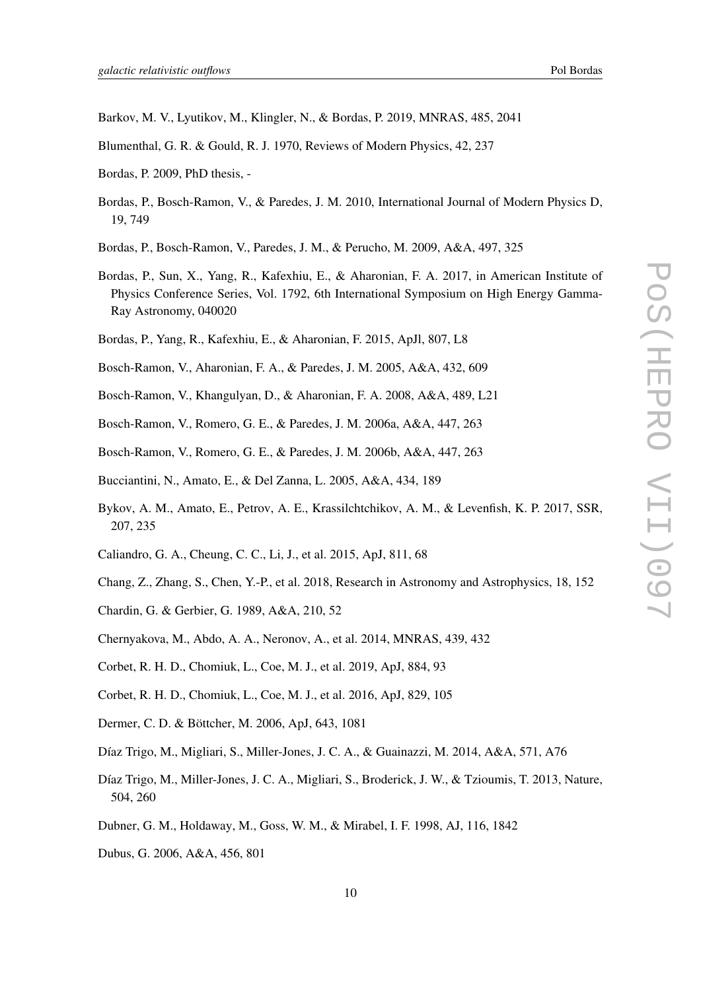- Barkov, M. V., Lyutikov, M., Klingler, N., & Bordas, P. 2019, MNRAS, 485, 2041
- Blumenthal, G. R. & Gould, R. J. 1970, Reviews of Modern Physics, 42, 237
- Bordas, P. 2009, PhD thesis, -
- Bordas, P., Bosch-Ramon, V., & Paredes, J. M. 2010, International Journal of Modern Physics D, 19, 749
- Bordas, P., Bosch-Ramon, V., Paredes, J. M., & Perucho, M. 2009, A&A, 497, 325
- Bordas, P., Sun, X., Yang, R., Kafexhiu, E., & Aharonian, F. A. 2017, in American Institute of Physics Conference Series, Vol. 1792, 6th International Symposium on High Energy Gamma-Ray Astronomy, 040020
- Bordas, P., Yang, R., Kafexhiu, E., & Aharonian, F. 2015, ApJl, 807, L8
- Bosch-Ramon, V., Aharonian, F. A., & Paredes, J. M. 2005, A&A, 432, 609
- Bosch-Ramon, V., Khangulyan, D., & Aharonian, F. A. 2008, A&A, 489, L21
- Bosch-Ramon, V., Romero, G. E., & Paredes, J. M. 2006a, A&A, 447, 263
- Bosch-Ramon, V., Romero, G. E., & Paredes, J. M. 2006b, A&A, 447, 263
- Bucciantini, N., Amato, E., & Del Zanna, L. 2005, A&A, 434, 189
- Bykov, A. M., Amato, E., Petrov, A. E., Krassilchtchikov, A. M., & Levenfish, K. P. 2017, SSR, 207, 235
- Caliandro, G. A., Cheung, C. C., Li, J., et al. 2015, ApJ, 811, 68
- Chang, Z., Zhang, S., Chen, Y.-P., et al. 2018, Research in Astronomy and Astrophysics, 18, 152
- Chardin, G. & Gerbier, G. 1989, A&A, 210, 52
- Chernyakova, M., Abdo, A. A., Neronov, A., et al. 2014, MNRAS, 439, 432
- Corbet, R. H. D., Chomiuk, L., Coe, M. J., et al. 2019, ApJ, 884, 93
- Corbet, R. H. D., Chomiuk, L., Coe, M. J., et al. 2016, ApJ, 829, 105
- Dermer, C. D. & Böttcher, M. 2006, ApJ, 643, 1081
- Díaz Trigo, M., Migliari, S., Miller-Jones, J. C. A., & Guainazzi, M. 2014, A&A, 571, A76
- Díaz Trigo, M., Miller-Jones, J. C. A., Migliari, S., Broderick, J. W., & Tzioumis, T. 2013, Nature, 504, 260
- Dubner, G. M., Holdaway, M., Goss, W. M., & Mirabel, I. F. 1998, AJ, 116, 1842
- Dubus, G. 2006, A&A, 456, 801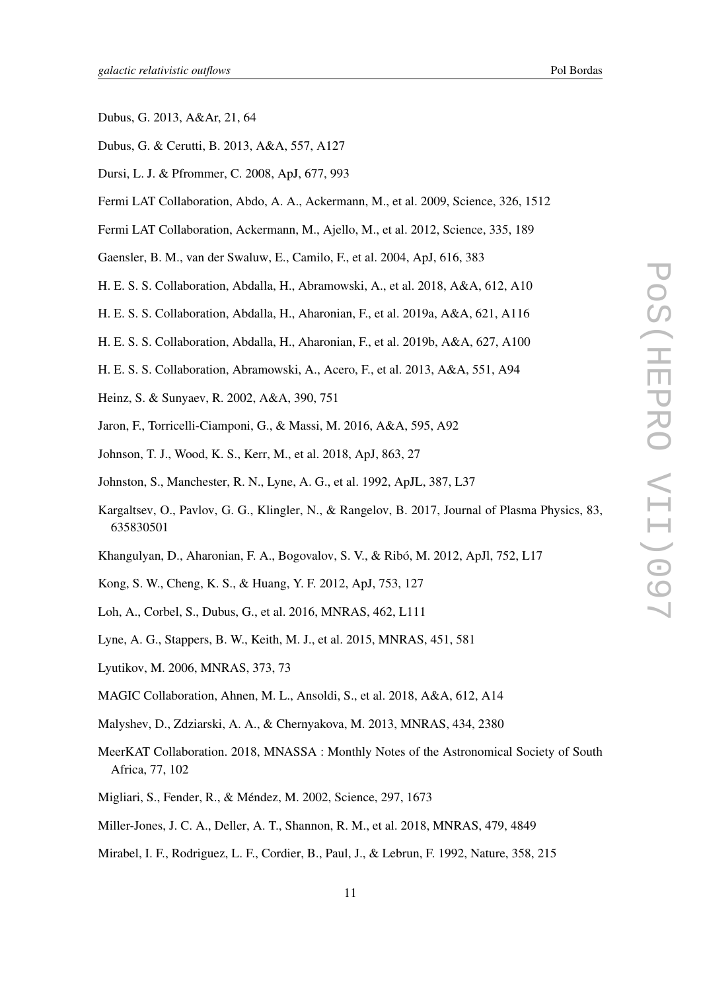- Dubus, G. 2013, A&Ar, 21, 64
- Dubus, G. & Cerutti, B. 2013, A&A, 557, A127
- Dursi, L. J. & Pfrommer, C. 2008, ApJ, 677, 993
- Fermi LAT Collaboration, Abdo, A. A., Ackermann, M., et al. 2009, Science, 326, 1512
- Fermi LAT Collaboration, Ackermann, M., Ajello, M., et al. 2012, Science, 335, 189
- Gaensler, B. M., van der Swaluw, E., Camilo, F., et al. 2004, ApJ, 616, 383
- H. E. S. S. Collaboration, Abdalla, H., Abramowski, A., et al. 2018, A&A, 612, A10
- H. E. S. S. Collaboration, Abdalla, H., Aharonian, F., et al. 2019a, A&A, 621, A116
- H. E. S. S. Collaboration, Abdalla, H., Aharonian, F., et al. 2019b, A&A, 627, A100
- H. E. S. S. Collaboration, Abramowski, A., Acero, F., et al. 2013, A&A, 551, A94
- Heinz, S. & Sunyaev, R. 2002, A&A, 390, 751
- Jaron, F., Torricelli-Ciamponi, G., & Massi, M. 2016, A&A, 595, A92
- Johnson, T. J., Wood, K. S., Kerr, M., et al. 2018, ApJ, 863, 27
- Johnston, S., Manchester, R. N., Lyne, A. G., et al. 1992, ApJL, 387, L37
- Kargaltsev, O., Pavlov, G. G., Klingler, N., & Rangelov, B. 2017, Journal of Plasma Physics, 83, 635830501
- Khangulyan, D., Aharonian, F. A., Bogovalov, S. V., & Ribó, M. 2012, ApJl, 752, L17
- Kong, S. W., Cheng, K. S., & Huang, Y. F. 2012, ApJ, 753, 127
- Loh, A., Corbel, S., Dubus, G., et al. 2016, MNRAS, 462, L111
- Lyne, A. G., Stappers, B. W., Keith, M. J., et al. 2015, MNRAS, 451, 581
- Lyutikov, M. 2006, MNRAS, 373, 73
- MAGIC Collaboration, Ahnen, M. L., Ansoldi, S., et al. 2018, A&A, 612, A14
- Malyshev, D., Zdziarski, A. A., & Chernyakova, M. 2013, MNRAS, 434, 2380
- MeerKAT Collaboration. 2018, MNASSA : Monthly Notes of the Astronomical Society of South Africa, 77, 102
- Migliari, S., Fender, R., & Méndez, M. 2002, Science, 297, 1673
- Miller-Jones, J. C. A., Deller, A. T., Shannon, R. M., et al. 2018, MNRAS, 479, 4849
- Mirabel, I. F., Rodriguez, L. F., Cordier, B., Paul, J., & Lebrun, F. 1992, Nature, 358, 215